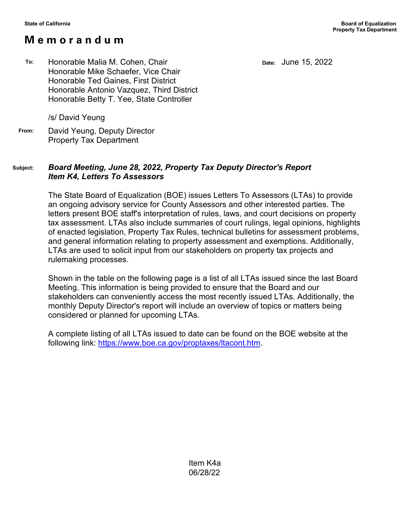## **M e m o r a n d u m**

**Date:** June 15, 2022

**To:** Honorable Malia M. Cohen, Chair Honorable Mike Schaefer, Vice Chair Honorable Ted Gaines, First District Honorable Antonio Vazquez, Third District Honorable Betty T. Yee, State Controller

/s/ David Yeung

**From:** David Yeung, Deputy Director Property Tax Department

## **Subject:** *Board Meeting, June 28, 2022, Property Tax Deputy Director's Report Item K4, Letters To Assessors*

The State Board of Equalization (BOE) issues Letters To Assessors (LTAs) to provide an ongoing advisory service for County Assessors and other interested parties. The letters present BOE staff's interpretation of rules, laws, and court decisions on property tax assessment. LTAs also include summaries of court rulings, legal opinions, highlights of enacted legislation, Property Tax Rules, technical bulletins for assessment problems, and general information relating to property assessment and exemptions. Additionally, LTAs are used to solicit input from our stakeholders on property tax projects and rulemaking processes.

Shown in the table on the following page is a list of all LTAs issued since the last Board Meeting. This information is being provided to ensure that the Board and our stakeholders can conveniently access the most recently issued LTAs. Additionally, the monthly Deputy Director's report will include an overview of topics or matters being considered or planned for upcoming LTAs.

A complete listing of all LTAs issued to date can be found on the BOE website at the following link: [https://www.boe.ca.gov/proptaxes/ltacont.htm.](https://www.boe.ca.gov/proptaxes/ltacont.htm)

> Item K4a 06/28/22